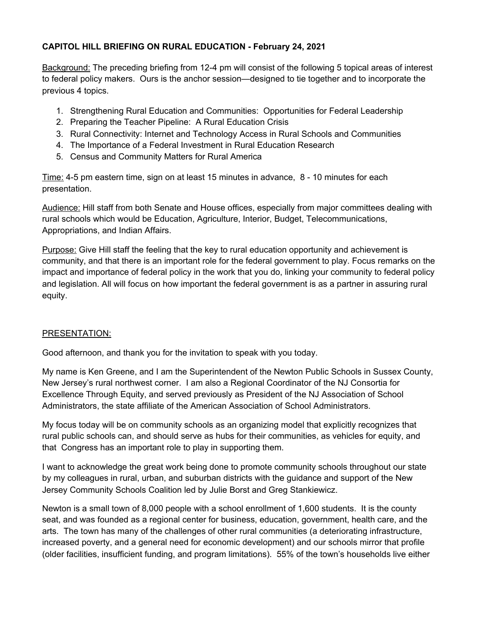## **CAPITOL HILL BRIEFING ON RURAL EDUCATION - February 24, 2021**

Background: The preceding briefing from 12-4 pm will consist of the following 5 topical areas of interest to federal policy makers. Ours is the anchor session—designed to tie together and to incorporate the previous 4 topics.

- 1. Strengthening Rural Education and Communities: Opportunities for Federal Leadership
- 2. Preparing the Teacher Pipeline: A Rural Education Crisis
- 3. Rural Connectivity: Internet and Technology Access in Rural Schools and Communities
- 4. The Importance of a Federal Investment in Rural Education Research
- 5. Census and Community Matters for Rural America

Time: 4-5 pm eastern time, sign on at least 15 minutes in advance, 8 - 10 minutes for each presentation.

Audience: Hill staff from both Senate and House offices, especially from major committees dealing with rural schools which would be Education, Agriculture, Interior, Budget, Telecommunications, Appropriations, and Indian Affairs.

Purpose: Give Hill staff the feeling that the key to rural education opportunity and achievement is community, and that there is an important role for the federal government to play. Focus remarks on the impact and importance of federal policy in the work that you do, linking your community to federal policy and legislation. All will focus on how important the federal government is as a partner in assuring rural equity.

## PRESENTATION:

Good afternoon, and thank you for the invitation to speak with you today.

My name is Ken Greene, and I am the Superintendent of the Newton Public Schools in Sussex County, New Jersey's rural northwest corner. I am also a Regional Coordinator of the NJ Consortia for Excellence Through Equity, and served previously as President of the NJ Association of School Administrators, the state affiliate of the American Association of School Administrators.

My focus today will be on community schools as an organizing model that explicitly recognizes that rural public schools can, and should serve as hubs for their communities, as vehicles for equity, and that Congress has an important role to play in supporting them.

I want to acknowledge the great work being done to promote community schools throughout our state by my colleagues in rural, urban, and suburban districts with the guidance and support of the New Jersey Community Schools Coalition led by Julie Borst and Greg Stankiewicz.

Newton is a small town of 8,000 people with a school enrollment of 1,600 students. It is the county seat, and was founded as a regional center for business, education, government, health care, and the arts. The town has many of the challenges of other rural communities (a deteriorating infrastructure, increased poverty, and a general need for economic development) and our schools mirror that profile (older facilities, insufficient funding, and program limitations). 55% of the town's households live either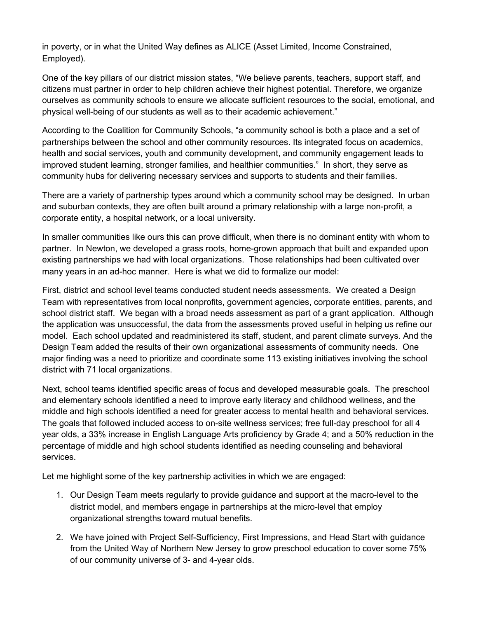in poverty, or in what the United Way defines as ALICE (Asset Limited, Income Constrained, Employed).

One of the key pillars of our district mission states, "We believe parents, teachers, support staff, and citizens must partner in order to help children achieve their highest potential. Therefore, we organize ourselves as community schools to ensure we allocate sufficient resources to the social, emotional, and physical well-being of our students as well as to their academic achievement."

According to the Coalition for Community Schools, "a community school is both a place and a set of partnerships between the school and other community resources. Its integrated focus on academics, health and social services, youth and community development, and community engagement leads to improved student learning, stronger families, and healthier communities." In short, they serve as community hubs for delivering necessary services and supports to students and their families.

There are a variety of partnership types around which a community school may be designed. In urban and suburban contexts, they are often built around a primary relationship with a large non-profit, a corporate entity, a hospital network, or a local university.

In smaller communities like ours this can prove difficult, when there is no dominant entity with whom to partner. In Newton, we developed a grass roots, home-grown approach that built and expanded upon existing partnerships we had with local organizations. Those relationships had been cultivated over many years in an ad-hoc manner. Here is what we did to formalize our model:

First, district and school level teams conducted student needs assessments. We created a Design Team with representatives from local nonprofits, government agencies, corporate entities, parents, and school district staff. We began with a broad needs assessment as part of a grant application. Although the application was unsuccessful, the data from the assessments proved useful in helping us refine our model. Each school updated and readministered its staff, student, and parent climate surveys. And the Design Team added the results of their own organizational assessments of community needs. One major finding was a need to prioritize and coordinate some 113 existing initiatives involving the school district with 71 local organizations.

Next, school teams identified specific areas of focus and developed measurable goals. The preschool and elementary schools identified a need to improve early literacy and childhood wellness, and the middle and high schools identified a need for greater access to mental health and behavioral services. The goals that followed included access to on-site wellness services; free full-day preschool for all 4 year olds, a 33% increase in English Language Arts proficiency by Grade 4; and a 50% reduction in the percentage of middle and high school students identified as needing counseling and behavioral services.

Let me highlight some of the key partnership activities in which we are engaged:

- 1. Our Design Team meets regularly to provide guidance and support at the macro-level to the district model, and members engage in partnerships at the micro-level that employ organizational strengths toward mutual benefits.
- 2. We have joined with Project Self-Sufficiency, First Impressions, and Head Start with guidance from the United Way of Northern New Jersey to grow preschool education to cover some 75% of our community universe of 3- and 4-year olds.